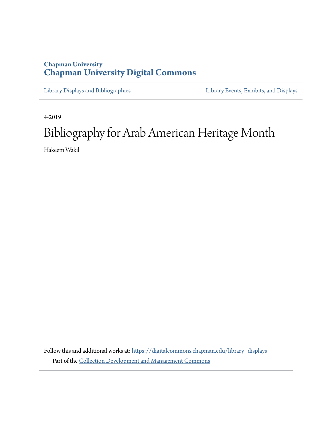# **Chapman University [Chapman University Digital Commons](https://digitalcommons.chapman.edu?utm_source=digitalcommons.chapman.edu%2Flibrary_displays%2F7&utm_medium=PDF&utm_campaign=PDFCoverPages)**

[Library Displays and Bibliographies](https://digitalcommons.chapman.edu/library_displays?utm_source=digitalcommons.chapman.edu%2Flibrary_displays%2F7&utm_medium=PDF&utm_campaign=PDFCoverPages) [Library Events, Exhibits, and Displays](https://digitalcommons.chapman.edu/library_events?utm_source=digitalcommons.chapman.edu%2Flibrary_displays%2F7&utm_medium=PDF&utm_campaign=PDFCoverPages)

4-2019

# Bibliography for Arab American Heritage Month

Hakeem Wakil

Follow this and additional works at: [https://digitalcommons.chapman.edu/library\\_displays](https://digitalcommons.chapman.edu/library_displays?utm_source=digitalcommons.chapman.edu%2Flibrary_displays%2F7&utm_medium=PDF&utm_campaign=PDFCoverPages) Part of the [Collection Development and Management Commons](http://network.bepress.com/hgg/discipline/1271?utm_source=digitalcommons.chapman.edu%2Flibrary_displays%2F7&utm_medium=PDF&utm_campaign=PDFCoverPages)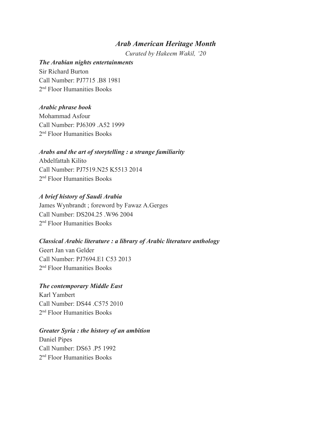## *Arab American Heritage Month*

*Curated by Hakeem Wakil, '20*

## *The Arabian nights entertainments*

Sir Richard Burton Call Number: PJ7715 .B8 1981 2 nd Floor Humanities Books

## *Arabic phrase book*

Mohammad Asfour Call Number: PJ6309 .A52 1999 2 nd Floor Humanities Books

## *Arabs and the art of storytelling : a strange familiarity*

Abdelfattah Kilito Call Number: PJ7519.N25 K5513 2014 2 nd Floor Humanities Books

## *A brief history of Saudi Arabia*

James Wynbrandt ; foreword by Fawaz A.Gerges Call Number: DS204.25 .W96 2004 2 nd Floor Humanities Books

## *Classical Arabic literature : a library of Arabic literature anthology*

Geert Jan van Gelder Call Number: PJ7694.E1 C53 2013 2 nd Floor Humanities Books

## *The contemporary Middle East*

Karl Yambert Call Number: DS44 .C575 2010 2 nd Floor Humanities Books

## *Greater Syria : the history of an ambition*

Daniel Pipes Call Number: DS63 .P5 1992 2 nd Floor Humanities Books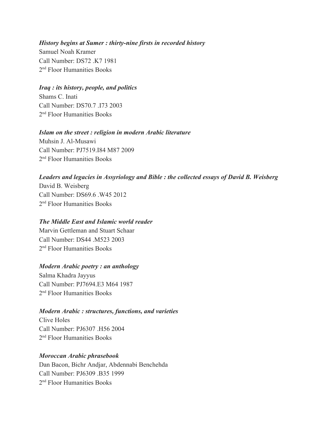#### *History begins at Sumer : thirty-nine firsts in recorded history*

Samuel Noah Kramer Call Number: DS72 .K7 1981 2 nd Floor Humanities Books

## *Iraq : its history, people, and politics*

Shams C. Inati Call Number: DS70.7 173 2003 2 nd Floor Humanities Books

## *Islam on the street : religion in modern Arabic literature*

Muhsin J. Al-Musawi Call Number: PJ7519.I84 M87 2009 2 nd Floor Humanities Books

## *Leaders and legacies in Assyriology and Bible : the collected essays of David B. Weisberg*

David B. Weisberg Call Number: DS69.6 .W45 2012 2 nd Floor Humanities Books

## *The Middle East and Islamic world reader*

Marvin Gettleman and Stuart Schaar Call Number: DS44 M523 2003 2 nd Floor Humanities Books

## *Modern Arabic poetry : an anthology*

Salma Khadra Jayyus Call Number: PJ7694.E3 M64 1987 2 nd Floor Humanities Books

## *Modern Arabic : structures, functions, and varieties*

Clive Holes Call Number: PJ6307 H56 2004 2 nd Floor Humanities Books

## *Moroccan Arabic phrasebook*

Dan Bacon, Bichr Andjar, Abdennabi Benchehda Call Number: PJ6309 .B35 1999 2 nd Floor Humanities Books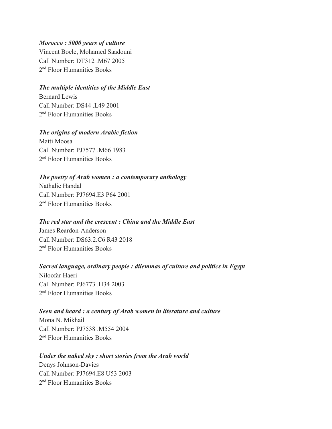## *Morocco : 5000 years of culture*

Vincent Boele, Mohamed Saadouni Call Number: DT312 .M67 2005 2 nd Floor Humanities Books

## *The multiple identities of the Middle East*

Bernard Lewis Call Number: DS44 .L49 2001 2 nd Floor Humanities Books

## *The origins of modern Arabic fiction*

Matti Moosa Call Number: PJ7577 M66 1983 2 nd Floor Humanities Books

## *The poetry of Arab women : a contemporary anthology*

Nathalie Handal Call Number: PJ7694.E3 P64 2001 2 nd Floor Humanities Books

## *The red star and the crescent : China and the Middle East*

James Reardon-Anderson Call Number: DS63.2.C6 R43 2018 2 nd Floor Humanities Books

## *Sacred language, ordinary people : dilemmas of culture and politics in Egypt*

Niloofar Haeri Call Number: PJ6773 .H34 2003 2 nd Floor Humanities Books

## *Seen and heard : a century of Arab women in literature and culture*

Mona N. Mikhail Call Number: PJ7538 M554 2004 2 nd Floor Humanities Books

## *Under the naked sky : short stories from the Arab world*

Denys Johnson-Davies Call Number: PJ7694.E8 U53 2003 2 nd Floor Humanities Books